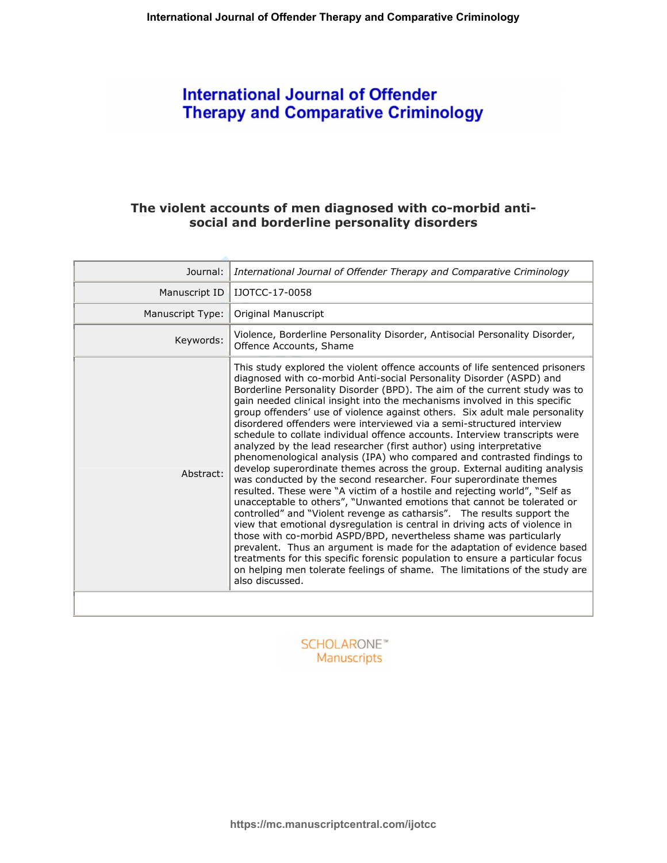# **International Journal of Offender Therapy and Comparative Criminology**

# The violent accounts of men diagnosed with co-morbid antisocial and borderline personality disorders

| Journal:         | International Journal of Offender Therapy and Comparative Criminology                                                                                                                                                                                                                                                                                                                                                                                                                                                                                                                                                                                                                                                                                                                                                                                                                                                                                                                                                                                                                                                                                                                                                                                                                                                                                                                                                                                                                                               |
|------------------|---------------------------------------------------------------------------------------------------------------------------------------------------------------------------------------------------------------------------------------------------------------------------------------------------------------------------------------------------------------------------------------------------------------------------------------------------------------------------------------------------------------------------------------------------------------------------------------------------------------------------------------------------------------------------------------------------------------------------------------------------------------------------------------------------------------------------------------------------------------------------------------------------------------------------------------------------------------------------------------------------------------------------------------------------------------------------------------------------------------------------------------------------------------------------------------------------------------------------------------------------------------------------------------------------------------------------------------------------------------------------------------------------------------------------------------------------------------------------------------------------------------------|
| Manuscript ID    | IJOTCC-17-0058                                                                                                                                                                                                                                                                                                                                                                                                                                                                                                                                                                                                                                                                                                                                                                                                                                                                                                                                                                                                                                                                                                                                                                                                                                                                                                                                                                                                                                                                                                      |
| Manuscript Type: | <b>Original Manuscript</b>                                                                                                                                                                                                                                                                                                                                                                                                                                                                                                                                                                                                                                                                                                                                                                                                                                                                                                                                                                                                                                                                                                                                                                                                                                                                                                                                                                                                                                                                                          |
| Keywords:        | Violence, Borderline Personality Disorder, Antisocial Personality Disorder,<br>Offence Accounts, Shame                                                                                                                                                                                                                                                                                                                                                                                                                                                                                                                                                                                                                                                                                                                                                                                                                                                                                                                                                                                                                                                                                                                                                                                                                                                                                                                                                                                                              |
| Abstract:        | This study explored the violent offence accounts of life sentenced prisoners<br>diagnosed with co-morbid Anti-social Personality Disorder (ASPD) and<br>Borderline Personality Disorder (BPD). The aim of the current study was to<br>gain needed clinical insight into the mechanisms involved in this specific<br>group offenders' use of violence against others. Six adult male personality<br>disordered offenders were interviewed via a semi-structured interview<br>schedule to collate individual offence accounts. Interview transcripts were<br>analyzed by the lead researcher (first author) using interpretative<br>phenomenological analysis (IPA) who compared and contrasted findings to<br>develop superordinate themes across the group. External auditing analysis<br>was conducted by the second researcher. Four superordinate themes<br>resulted. These were "A victim of a hostile and rejecting world", "Self as<br>unacceptable to others", "Unwanted emotions that cannot be tolerated or<br>controlled" and "Violent revenge as catharsis". The results support the<br>view that emotional dysregulation is central in driving acts of violence in<br>those with co-morbid ASPD/BPD, nevertheless shame was particularly<br>prevalent. Thus an argument is made for the adaptation of evidence based<br>treatments for this specific forensic population to ensure a particular focus<br>on helping men tolerate feelings of shame. The limitations of the study are<br>also discussed. |
|                  |                                                                                                                                                                                                                                                                                                                                                                                                                                                                                                                                                                                                                                                                                                                                                                                                                                                                                                                                                                                                                                                                                                                                                                                                                                                                                                                                                                                                                                                                                                                     |

**SCHOLARONE™** Manuscripts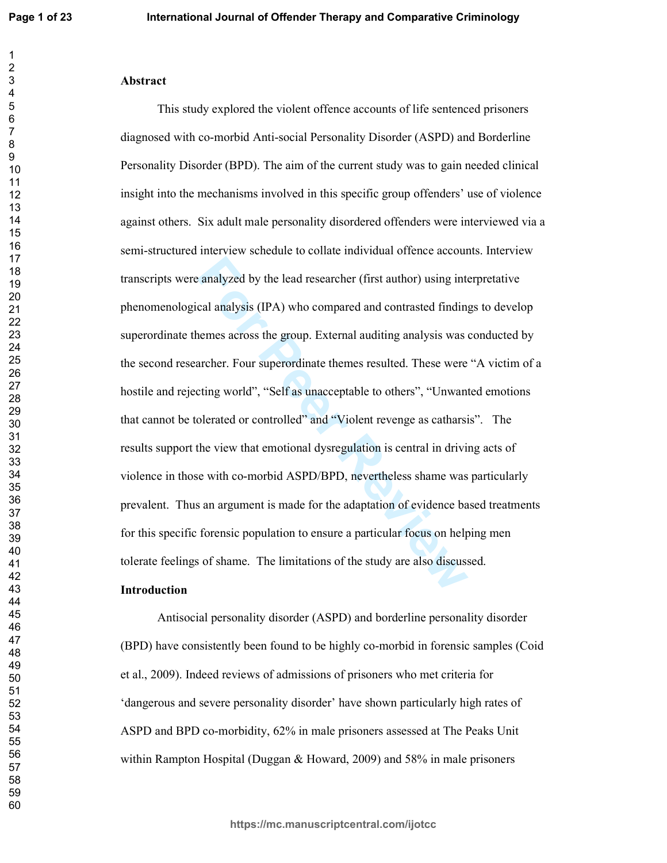## **-**

examply a analyzed by the lead researcher (first author) using intimedial analysis (IPA) who compared and contrasted finding<br>nemes across the group. External auditing analysis was a<br>archer. Four superordinate themes result This study explored the violent offence accounts of life sentenced prisoners diagnosed with co-morbid Anti-social Personality Disorder (ASPD) and Borderline Personality Disorder (BPD). The aim of the current study was to gain needed clinical insight into the mechanisms involved in this specific group offenders' use of violence against others. Six adult male personality disordered offenders were interviewed via a semi-structured interview schedule to collate individual offence accounts. Interview transcripts were analyzed by the lead researcher (first author) using interpretative phenomenological analysis (IPA) who compared and contrasted findings to develop superordinate themes across the group. External auditing analysis was conducted by the second researcher. Four superordinate themes resulted. These were "A victim of a hostile and rejecting world", "Self as unacceptable to others", "Unwanted emotions that cannot be tolerated or controlled" and "Violent revenge as catharsis". The results support the view that emotional dysregulation is central in driving acts of violence in those with co-morbid ASPD/BPD, nevertheless shame was particularly prevalent. Thus an argument is made for the adaptation of evidence based treatments for this specific forensic population to ensure a particular focus on helping men tolerate feelings of shame. The limitations of the study are also discussed.

# **Introduction**

Antisocial personality disorder (ASPD) and borderline personality disorder (BPD) have consistently been found to be highly co-morbid in forensic samples (Coid et al., 2009). Indeed reviews of admissions of prisoners who met criteria for 'dangerous and severe personality disorder' have shown particularly high rates of ASPD and BPD co-morbidity, 62% in male prisoners assessed at The Peaks Unit within Rampton Hospital (Duggan  $\&$  Howard, 2009) and 58% in male prisoners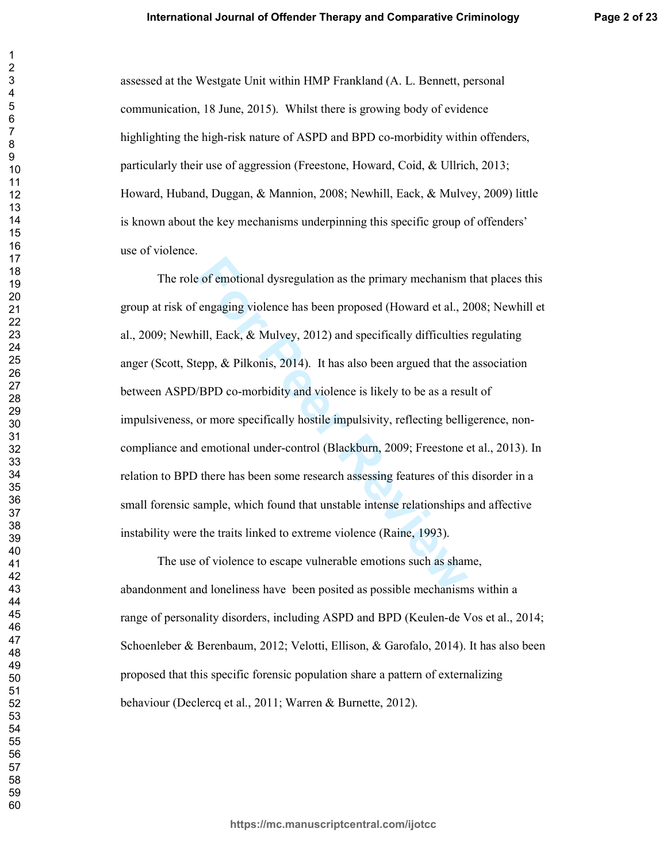assessed at the Westgate Unit within HMP Frankland (A. L. Bennett, personal communication, 18 June, 2015). Whilst there is growing body of evidence highlighting the high-risk nature of ASPD and BPD co-morbidity within offenders, particularly their use of aggression (Freestone, Howard, Coid, & Ullrich, 2013; Howard, Huband, Duggan, & Mannion, 2008; Newhill, Eack, & Mulvey, 2009) little is known about the key mechanisms underpinning this specific group of offenders' use of violence.

For emotional dysregulation as the primary mechanism<br>
engaging violence has been proposed (Howard et al., 2<br>
iill, Eack, & Mulvey, 2012) and specifically difficulties<br>
epp, & Pilkonis, 2014). It has also been argued that t The role of emotional dysregulation as the primary mechanism that places this group at risk of engaging violence has been proposed (Howard et al., 2008; Newhill et al., 2009; Newhill, Eack, & Mulvey, 2012) and specifically difficulties regulating anger (Scott, Stepp,  $\&$  Pilkonis, 2014). It has also been argued that the association between ASPD/BPD co-morbidity and violence is likely to be as a result of impulsiveness, or more specifically hostile impulsivity, reflecting belligerence, noncompliance and emotional under-control (Blackburn, 2009; Freestone et al., 2013). In relation to BPD there has been some research assessing features of this disorder in a small forensic sample, which found that unstable intense relationships and affective instability were the traits linked to extreme violence (Raine, 1993).

The use of violence to escape vulnerable emotions such as shame, abandonment and loneliness have been posited as possible mechanisms within a range of personality disorders, including ASPD and BPD (Keulen-de Vos et al., 2014; Schoenleber & Berenbaum, 2012; Velotti, Ellison, & Garofalo, 2014). It has also been proposed that this specific forensic population share a pattern of externalizing behaviour (Declercq et al., 2011; Warren & Burnette, 2012).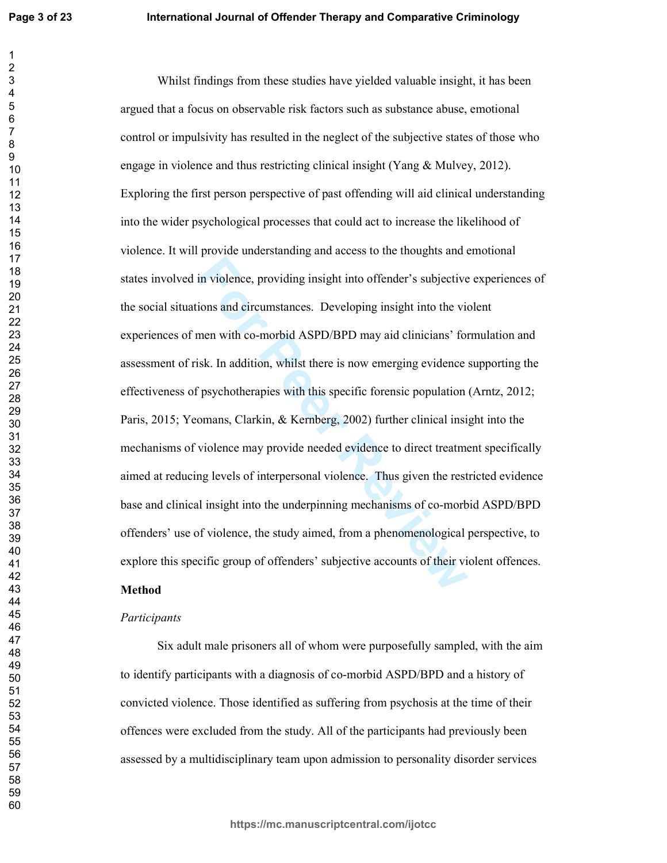**Formular Internal System System System System System System System System System System System System System System System System System System System System System System Properties The System System Properties with this** Whilst findings from these studies have yielded valuable insight, it has been argued that a focus on observable risk factors such as substance abuse, emotional control or impulsivity has resulted in the neglect of the subjective states of those who engage in violence and thus restricting clinical insight (Yang  $\&$  Mulvey, 2012). Exploring the first person perspective of past offending will aid clinical understanding into the wider psychological processes that could act to increase the likelihood of violence. It will provide understanding and access to the thoughts and emotional states involved in violence, providing insight into offender's subjective experiences of the social situations and circumstances. Developing insight into the violent experiences of men with co-morbid ASPD/BPD may aid clinicians' formulation and assessment of risk. In addition, whilst there is now emerging evidence supporting the effectiveness of psychotherapies with this specific forensic population (Arntz, 2012; Paris, 2015; Yeomans, Clarkin, & Kernberg, 2002) further clinical insight into the mechanisms of violence may provide needed evidence to direct treatment specifically aimed at reducing levels of interpersonal violence. Thus given the restricted evidence base and clinical insight into the underpinning mechanisms of co-morbid ASPD/BPD offenders' use of violence, the study aimed, from a phenomenological perspective, to explore this specific group of offenders' subjective accounts of their violent offences.

# **Method**

## **Participants**

Six adult male prisoners all of whom were purposefully sampled, with the aim to identify participants with a diagnosis of co-morbid ASPD/BPD and a history of convicted violence. Those identified as suffering from psychosis at the time of their offences were excluded from the study. All of the participants had previously been assessed by a multidisciplinary team upon admission to personality disorder services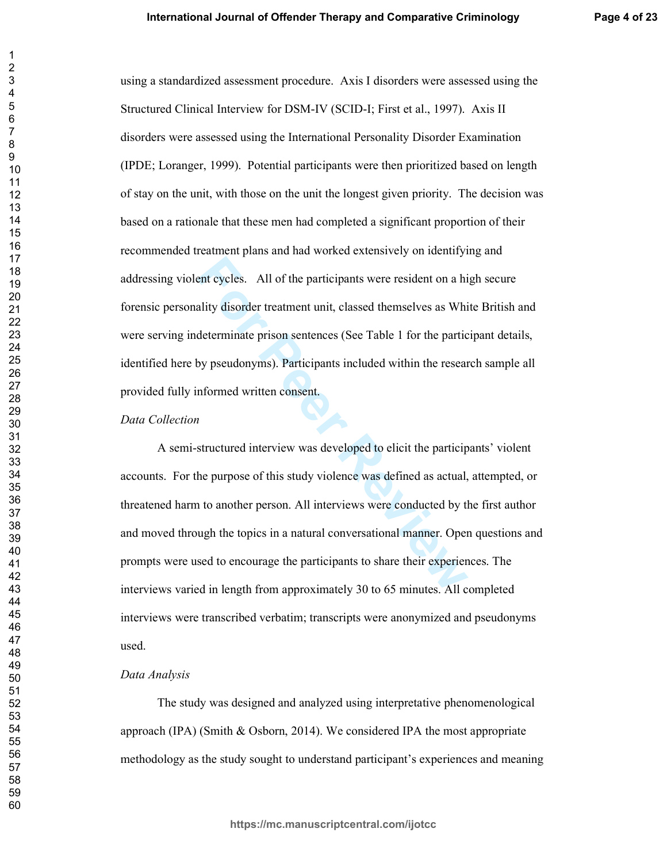using a standardized assessment procedure. Axis I disorders were assessed using the Structured Clinical Interview for DSM-IV (SCID-I; First et al., 1997). Axis II disorders were assessed using the International Personality Disorder Examination (IPDE; Loranger, 1999). Potential participants were then prioritized based on length of stay on the unit, with those on the unit the longest given priority. The decision was based on a rationale that these men had completed a significant proportion of their recommended treatment plans and had worked extensively on identifying and addressing violent cycles. All of the participants were resident on a high secure forensic personality disorder treatment unit, classed themselves as White British and were serving indeterminate prison sentences (See Table 1 for the participant details, identified here by pseudonyms). Participants included within the research sample all provided fully informed written consent.

### Data Collection

A semi-structured interview was developed to elicit the participants' violent accounts. For the purpose of this study violence was defined as actual, attempted, or threatened harm to another person. All interviews were conducted by the first author and moved through the topics in a natural conversational manner. Open questions and prompts were used to encourage the participants to share their experiences. The interviews varied in length from approximately 30 to 65 minutes. All completed interviews were transcribed verbatim; transcripts were anonymized and pseudonyms used.

# Data Analysis

The study was designed and analyzed using interpretative phenomenological approach (IPA) (Smith  $\&$  Osborn, 2014). We considered IPA the most appropriate methodology as the study sought to understand participant's experiences and meaning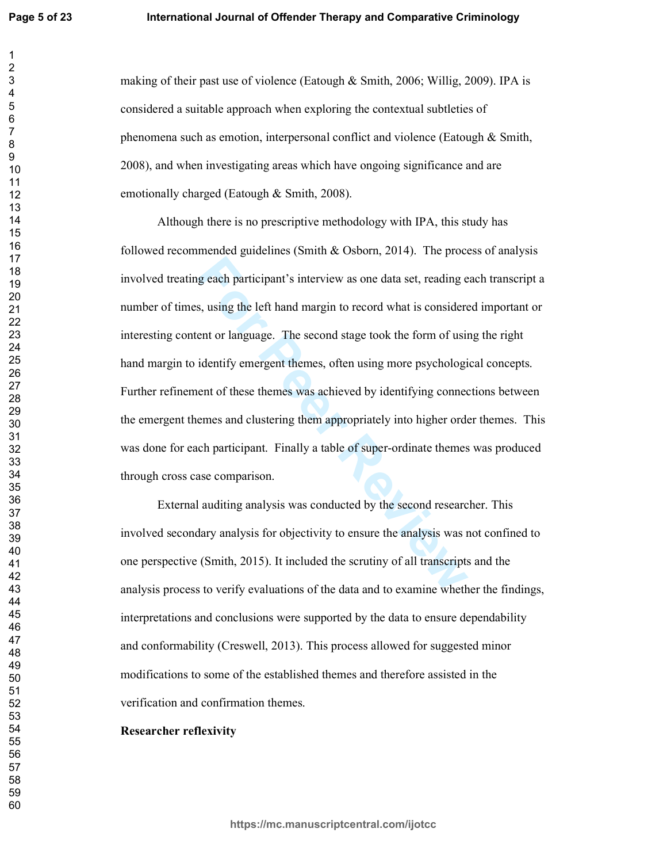making of their past use of violence (Eatough & Smith, 2006; Willig, 2009). IPA is considered a suitable approach when exploring the contextual subtleties of phenomena such as emotion, interpersonal conflict and violence (Eatough & Smith, 2008), and when investigating areas which have ongoing significance and are emotionally charged (Eatough & Smith, 2008).

g each participant's interview as one data set, reading e<br>s, using the left hand margin to record what is considere<br>ent or language. The second stage took the form of usin<br>identify emergent themes, often using more psychol Although there is no prescriptive methodology with IPA, this study has followed recommended guidelines (Smith  $&$  Osborn, 2014). The process of analysis involved treating each participant's interview as one data set, reading each transcript a number of times, using the left hand margin to record what is considered important or interesting content or language. The second stage took the form of using the right hand margin to identify emergent themes, often using more psychological concepts. Further refinement of these themes was achieved by identifying connections between the emergent themes and clustering them appropriately into higher order themes. This was done for each participant. Finally a table of super-ordinate themes was produced through cross case comparison.

External auditing analysis was conducted by the second researcher. This involved secondary analysis for objectivity to ensure the analysis was not confined to one perspective (Smith, 2015). It included the scrutiny of all transcripts and the analysis process to verify evaluations of the data and to examine whether the findings, interpretations and conclusions were supported by the data to ensure dependability and conformability (Creswell, 2013). This process allowed for suggested minor modifications to some of the established themes and therefore assisted in the verification and confirmation themes.

# **Researcher reflexivity**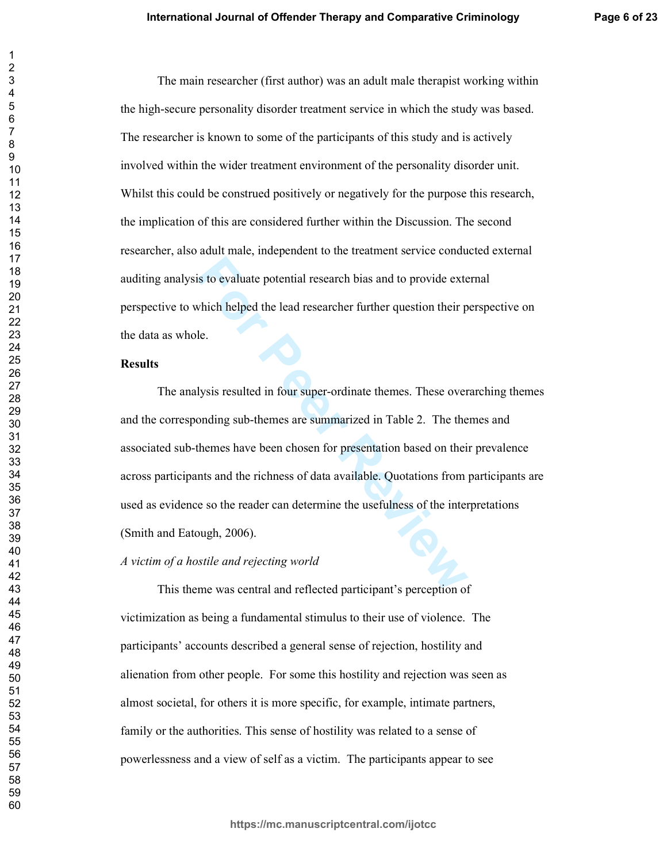The main researcher (first author) was an adult male therapist working within the high-secure personality disorder treatment service in which the study was based. The researcher is known to some of the participants of this study and is actively involved within the wider treatment environment of the personality disorder unit. Whilst this could be construed positively or negatively for the purpose this research, the implication of this are considered further within the Discussion. The second researcher, also adult male, independent to the treatment service conducted external auditing analysis to evaluate potential research bias and to provide external perspective to which helped the lead researcher further question their perspective on the data as whole.

#### **Results**

is to evaluate potential research bias and to provide externation the externation the lead researcher further question their p<br>le.<br><br>**For Peer Contex Algers** and the lead researcher further question their p<br><br><br>**In Peer Secti** The analysis resulted in four super-ordinate themes. These overarching themes and the corresponding sub-themes are summarized in Table 2. The themes and associated sub-themes have been chosen for presentation based on their prevalence across participants and the richness of data available. Quotations from participants are used as evidence so the reader can determine the usefulness of the interpretations (Smith and Eatough, 2006).

## *A* victim of a hostile and rejecting world

This theme was central and reflected participant's perception of victimization as being a fundamental stimulus to their use of violence. The participants' accounts described a general sense of rejection, hostility and alienation from other people. For some this hostility and rejection was seen as almost societal, for others it is more specific, for example, intimate partners, family or the authorities. This sense of hostility was related to a sense of powerlessness and a view of self as a victim. The participants appear to see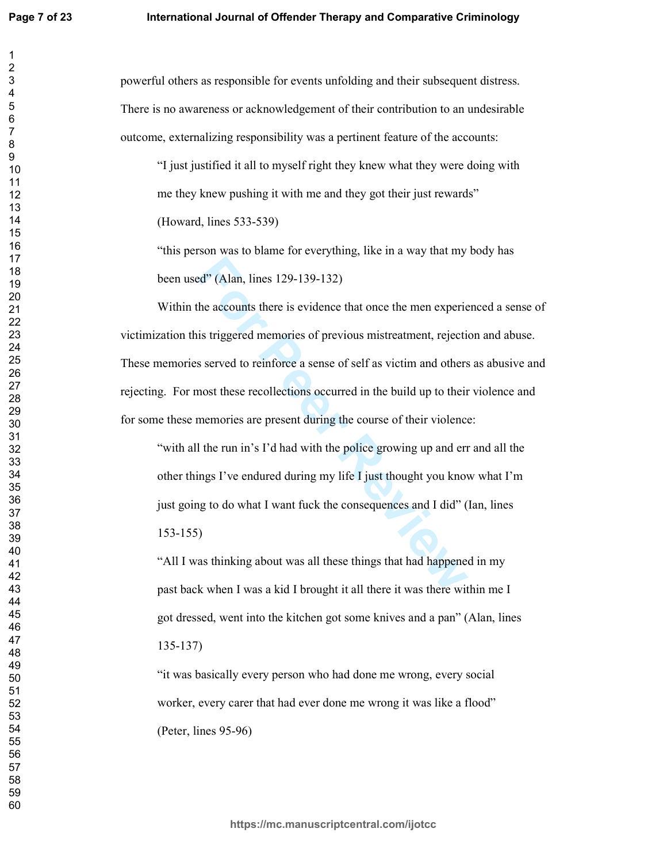powerful others as responsible for events unfolding and their subsequent distress. There is no awareness or acknowledgement of their contribution to an undesirable outcome, externalizing responsibility was a pertinent feature of the accounts:

"I just justified it all to myself right they knew what they were doing with me they knew pushing it with me and they got their just rewards"

(Howard, lines 533-539)

"this person was to blame for everything, like in a way that my body has been used" (Alan, lines 129-139-132)

Example 2014 (Alan, lines 129-139-132)<br>the accounts there is evidence that once the men experie<br>is triggered memories of previous mistreatment, rejective<br>s served to reinforce a sense of self as victim and others<br>most thes Within the accounts there is evidence that once the men experienced a sense of victimization this triggered memories of previous mistreatment, rejection and abuse. These memories served to reinforce a sense of self as victim and others as abusive and rejecting. For most these recollections occurred in the build up to their violence and for some these memories are present during the course of their violence:

"with all the run in's I'd had with the police growing up and err and all the other things I've endured during my life I just thought you know what I'm just going to do what I want fuck the consequences and I did" (Ian, lines  $153 - 155$ 

"All I was thinking about was all these things that had happened in my past back when I was a kid I brought it all there it was there within me I got dressed, went into the kitchen got some knives and a pan" (Alan, lines  $135 - 137$ 

"it was basically every person who had done me wrong, every social worker, every carer that had ever done me wrong it was like a flood" (Peter, lines  $95-96$ )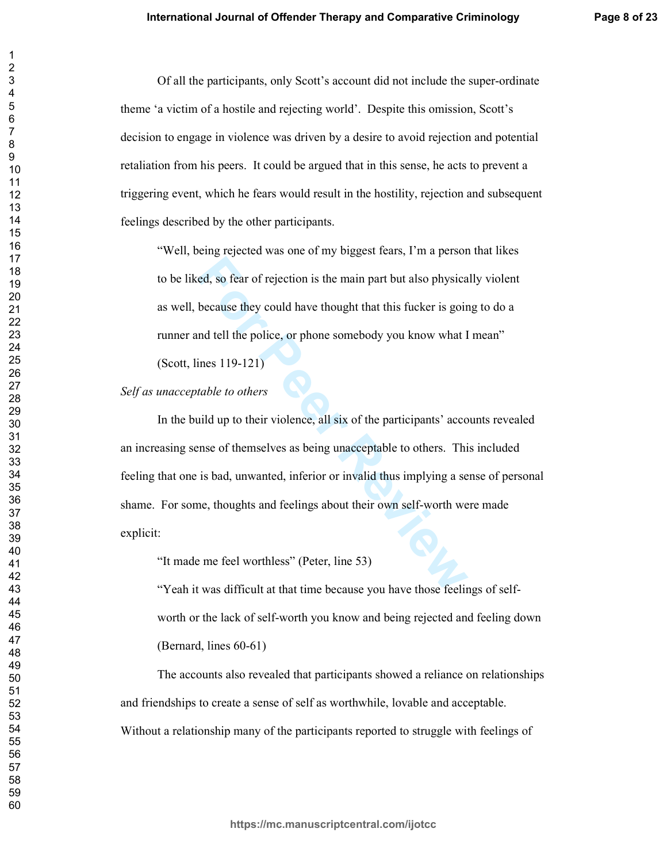Of all the participants, only Scott's account did not include the super-ordinate theme 'a victim of a hostile and rejecting world'. Despite this omission, Scott's decision to engage in violence was driven by a desire to avoid rejection and potential retaliation from his peers. It could be argued that in this sense, he acts to prevent a triggering event, which he fears would result in the hostility, rejection and subsequent feelings described by the other participants.

"Well, being rejected was one of my biggest fears, I'm a person that likes to be liked, so fear of rejection is the main part but also physically violent as well, because they could have thought that this fucker is going to do a runner and tell the police, or phone somebody you know what I mean"

(Scott, lines 119-121)

## Self as unacceptable to others

Example 1.1 The main part but also physica<br>because they could have thought that this fucker is goin<br>and tell the police, or phone somebody you know what I<br>ines 119-121)<br>table to others<br>aild up to their violence, all six of In the build up to their violence, all six of the participants' accounts revealed an increasing sense of themselves as being unacceptable to others. This included feeling that one is bad, unwanted, inferior or invalid thus implying a sense of personal shame. For some, thoughts and feelings about their own self-worth were made explicit:

"It made me feel worthless" (Peter, line 53)

"Yeah it was difficult at that time because you have those feelings of selfworth or the lack of self-worth you know and being rejected and feeling down (Bernard, lines  $60-61$ )

The accounts also revealed that participants showed a reliance on relationships and friendships to create a sense of self as worthwhile, lovable and acceptable. Without a relationship many of the participants reported to struggle with feelings of

 $\overline{2}$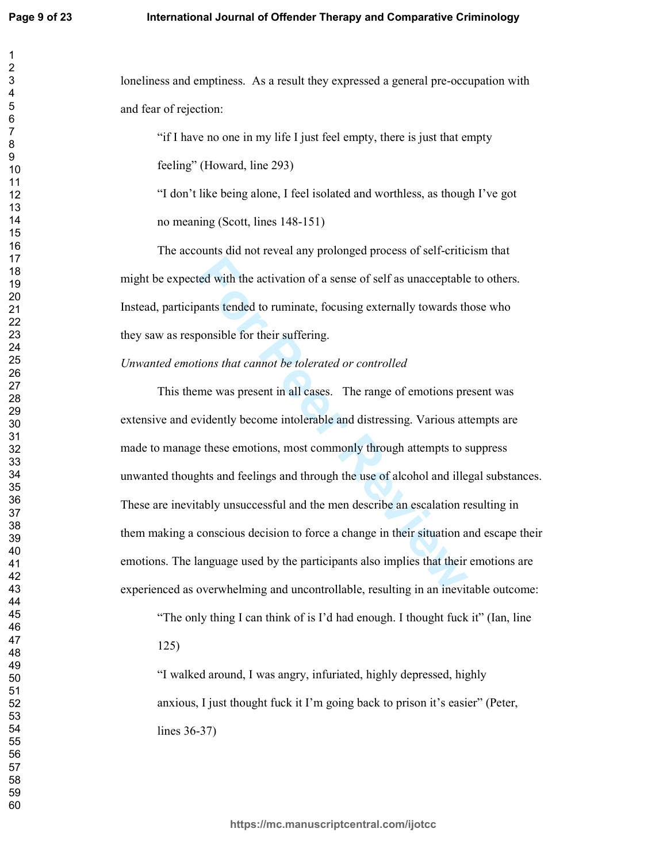loneliness and emptiness. As a result they expressed a general pre-occupation with and fear of rejection:

> "if I have no one in my life I just feel empty, there is just that empty feeling" (Howard, line 293)

"I don't like being alone, I feel isolated and worthless, as though I've got no meaning (Scott, lines  $148-151$ )

The accounts did not reveal any prolonged process of self-criticism that might be expected with the activation of a sense of self as unacceptable to others. Instead, participants tended to ruminate, focusing externally towards those who they saw as responsible for their suffering.

# Unwanted emotions that cannot be tolerated or controlled

For the activation of a sense of self as unacceptable<br>pants tended to ruminate, focusing externally towards the<br>ponsible for their suffering.<br>tions that cannot be tolerated or controlled<br>me was present in all cases. The ra This theme was present in all cases. The range of emotions present was extensive and evidently become intolerable and distressing. Various attempts are made to manage these emotions, most commonly through attempts to suppress unwanted thoughts and feelings and through the use of alcohol and illegal substances. These are inevitably unsuccessful and the men describe an escalation resulting in them making a conscious decision to force a change in their situation and escape their emotions. The language used by the participants also implies that their emotions are experienced as overwhelming and uncontrollable, resulting in an inevitable outcome:

"The only thing I can think of is I'd had enough. I thought fuck it" (Ian, line

 $125)$ 

"I walked around, I was angry, infuriated, highly depressed, highly anxious, I just thought fuck it I'm going back to prison it's easier" (Peter, lines  $36-37$ )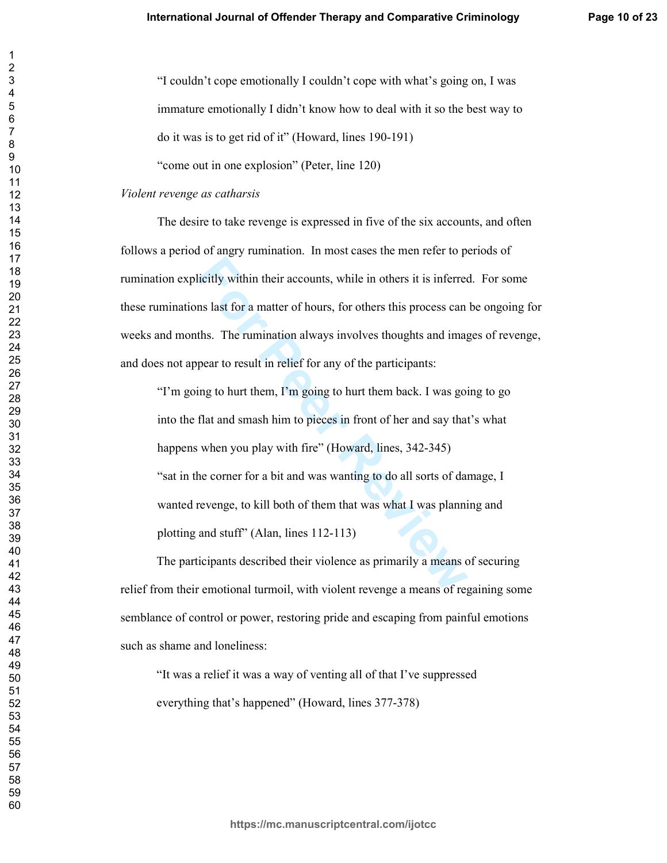"I couldn't cope emotionally I couldn't cope with what's going on, I was immature emotionally I didn't know how to deal with it so the best way to do it was is to get rid of it" (Howard, lines  $190-191$ )

"come out in one explosion" (Peter, line 120)

## *Violent revenge as catharsis*

The desire to take revenge is expressed in five of the six accounts, and often follows a period of angry rumination. In most cases the men refer to periods of rumination explicitly within their accounts, while in others it is inferred. For some these ruminations last for a matter of hours, for others this process can be ongoing for weeks and months. The rumination always involves thoughts and images of revenge, and does not appear to result in relief for any of the participants:

**Follow Eventon** is a state of hours, while in others it is inferred<br> **For Solution** is a matter of hours, for others this process can<br>
ths. The rumination always involves thoughts and imag<br>
pear to result in relief for an "I'm going to hurt them, I'm going to hurt them back. I was going to go into the flat and smash him to pieces in front of her and say that's what happens when you play with fire" (Howard, lines, 342-345) "sat in the corner for a bit and was wanting to do all sorts of damage, I wanted revenge, to kill both of them that was what I was planning and plotting and stuff" (Alan, lines  $112-113$ )

The participants described their violence as primarily a means of securing relief from their emotional turmoil, with violent revenge a means of regaining some semblance of control or power, restoring pride and escaping from painful emotions such as shame and loneliness:

"It was a relief it was a way of venting all of that I've suppressed everything that's happened" (Howard, lines 377-378)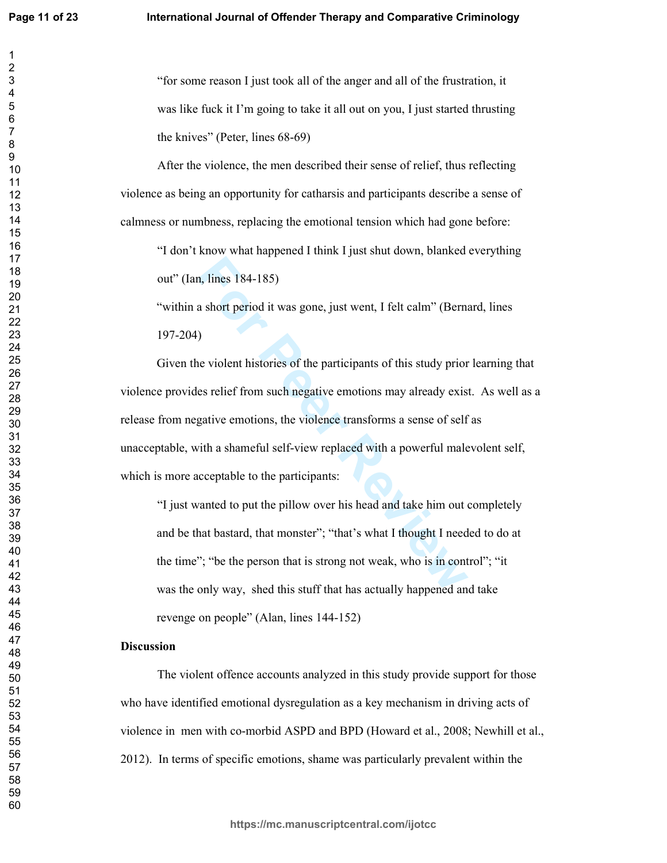"for some reason I just took all of the anger and all of the frustration, it was like fuck it I'm going to take it all out on you, I just started thrusting the knives" (Peter, lines  $68-69$ )

After the violence, the men described their sense of relief, thus reflecting violence as being an opportunity for catharsis and participants describe a sense of calmness or numbness, replacing the emotional tension which had gone before:

"I don't know what happened I think I just shut down, blanked everything out" (Ian, lines 184-185)

"within a short period it was gone, just went, I felt calm" (Bernard, lines 197-204)

**Formularity**, Index 184-185)<br> **Formularity and Solution** a short period it was gone, just went, I felt calm" (Berna<br> **Formularity** exists of the participants of this study prior<br>
es relief from such negative emotions may Given the violent histories of the participants of this study prior learning that violence provides relief from such negative emotions may already exist. As well as a release from negative emotions, the violence transforms a sense of self as unacceptable, with a shameful self-view replaced with a powerful malevolent self, which is more acceptable to the participants:

"I just wanted to put the pillow over his head and take him out completely and be that bastard, that monster"; "that's what I thought I needed to do at the time"; "be the person that is strong not weak, who is in control"; "it was the only way, shed this stuff that has actually happened and take revenge on people" (Alan, lines 144-152)

# **Discussion**

The violent offence accounts analyzed in this study provide support for those who have identified emotional dysregulation as a key mechanism in driving acts of violence in men with co-morbid ASPD and BPD (Howard et al., 2008; Newhill et al., 2012). In terms of specific emotions, shame was particularly prevalent within the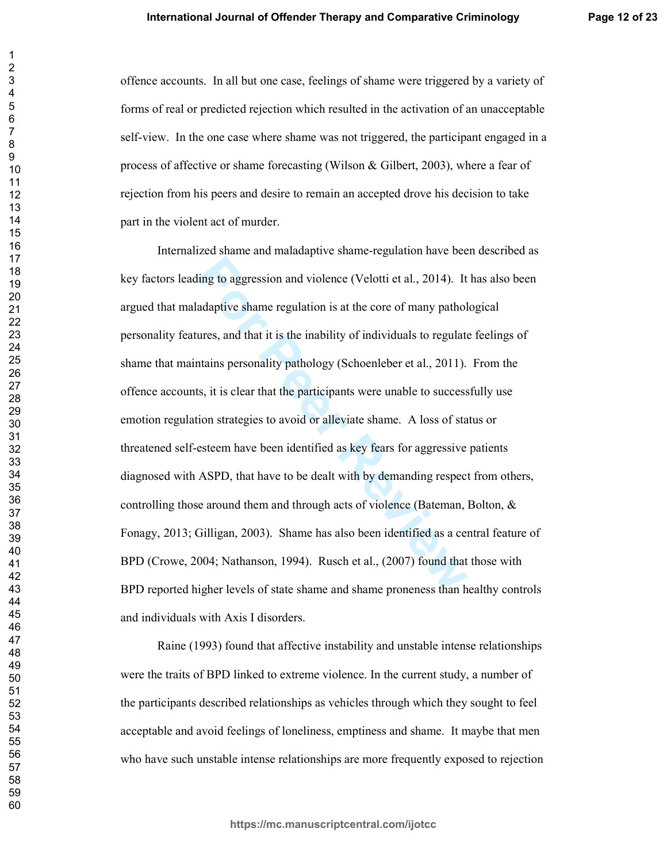offence accounts. In all but one case, feelings of shame were triggered by a variety of forms of real or predicted rejection which resulted in the activation of an unacceptable self-view. In the one case where shame was not triggered, the participant engaged in a process of affective or shame forecasting (Wilson & Gilbert, 2003), where a fear of rejection from his peers and desire to remain an accepted drove his decision to take part in the violent act of murder.

For any solution of violence (Velotti et al., 2014). It<br>adaptive shame regulation is at the core of many pathol<br>ures, and that it is the inability of individuals to regulate<br>attains personality pathology (Schoenleber et al Internalized shame and maladaptive shame-regulation have been described as key factors leading to aggression and violence (Velotti et al., 2014). It has also been argued that maladaptive shame regulation is at the core of many pathological personality features, and that it is the inability of individuals to regulate feelings of shame that maintains personality pathology (Schoenleber et al., 2011). From the offence accounts, it is clear that the participants were unable to successfully use emotion regulation strategies to avoid or alleviate shame. A loss of status or threatened self-esteem have been identified as key fears for aggressive patients diagnosed with ASPD, that have to be dealt with by demanding respect from others, controlling those around them and through acts of violence (Bateman, Bolton,  $\&$ Fonagy, 2013; Gilligan, 2003). Shame has also been identified as a central feature of BPD (Crowe, 2004; Nathanson, 1994). Rusch et al., (2007) found that those with BPD reported higher levels of state shame and shame proneness than healthy controls and individuals with Axis I disorders.

Raine (1993) found that affective instability and unstable intense relationships were the traits of BPD linked to extreme violence. In the current study, a number of the participants described relationships as vehicles through which they sought to feel acceptable and avoid feelings of loneliness, emptiness and shame. It maybe that men who have such unstable intense relationships are more frequently exposed to rejection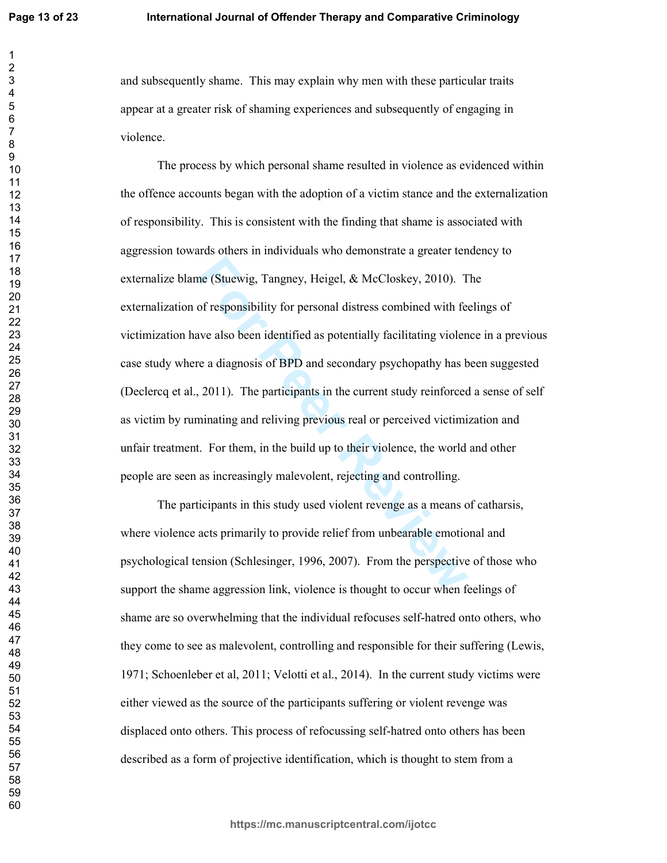and subsequently shame. This may explain why men with these particular traits appear at a greater risk of shaming experiences and subsequently of engaging in violence.

ne (Stuewig, Tangney, Heigel, & McCloskey, 2010). Tof responsibility for personal distress combined with feave also been identified as potentially facilitating violen re a diagnosis of BPD and secondary psychopathy has b, The process by which personal shame resulted in violence as evidenced within the offence accounts began with the adoption of a victim stance and the externalization of responsibility. This is consistent with the finding that shame is associated with aggression towards others in individuals who demonstrate a greater tendency to externalize blame (Stuewig, Tangney, Heigel, & McCloskey, 2010). The externalization of responsibility for personal distress combined with feelings of victimization have also been identified as potentially facilitating violence in a previous case study where a diagnosis of BPD and secondary psychopathy has been suggested (Declercq et al., 2011). The participants in the current study reinforced a sense of self as victim by ruminating and reliving previous real or perceived victimization and unfair treatment. For them, in the build up to their violence, the world and other people are seen as increasingly malevolent, rejecting and controlling.

The participants in this study used violent revenge as a means of catharsis, where violence acts primarily to provide relief from unbearable emotional and psychological tension (Schlesinger, 1996, 2007). From the perspective of those who support the shame aggression link, violence is thought to occur when feelings of shame are so overwhelming that the individual refocuses self-hatred onto others, who they come to see as malevolent, controlling and responsible for their suffering (Lewis, 1971; Schoenleber et al, 2011; Velotti et al., 2014). In the current study victims were either viewed as the source of the participants suffering or violent revenge was displaced onto others. This process of refocussing self-hatred onto others has been described as a form of projective identification, which is thought to stem from a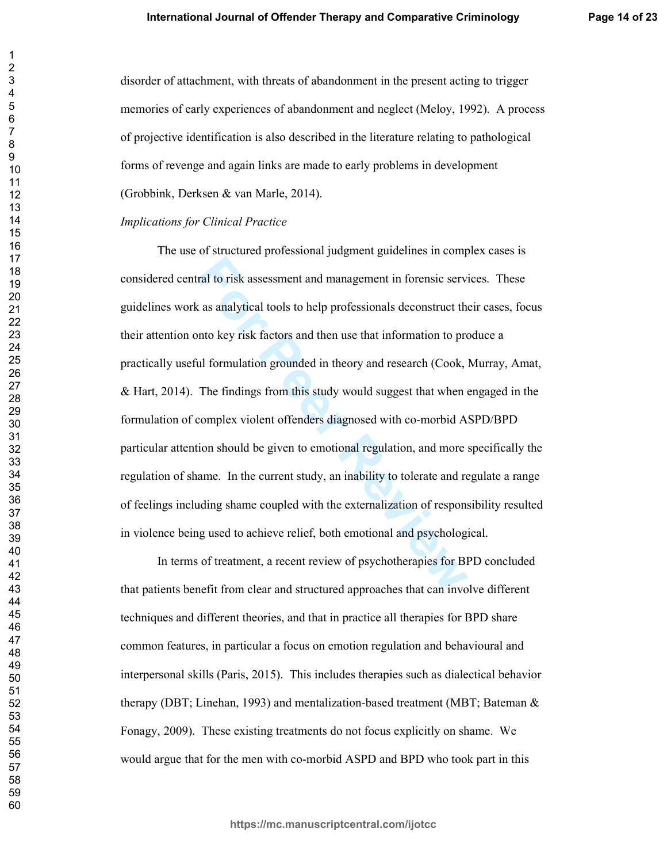disorder of attachment, with threats of abandonment in the present acting to trigger memories of early experiences of abandonment and neglect (Meloy, 1992). A process of projective identification is also described in the literature relating to pathological forms of revenge and again links are made to early problems in development (Grobbink, Derksen & van Marle, 2014).

## *Implications for Clinical Practice*

ral to risk assessment and management in forensic services as analytical tools to help professionals deconstruct the notice service as analytical tools to help professionals deconstruct the notice of the metal formulation The use of structured professional judgment guidelines in complex cases is considered central to risk assessment and management in forensic services. These guidelines work as analytical tools to help professionals deconstruct their cases, focus their attention onto key risk factors and then use that information to produce a practically useful formulation grounded in theory and research (Cook, Murray, Amat,  $\&$  Hart, 2014). The findings from this study would suggest that when engaged in the formulation of complex violent offenders diagnosed with co-morbid ASPD/BPD particular attention should be given to emotional regulation, and more specifically the regulation of shame. In the current study, an inability to tolerate and regulate a range of feelings including shame coupled with the externalization of responsibility resulted in violence being used to achieve relief, both emotional and psychological.

In terms of treatment, a recent review of psychotherapies for BPD concluded that patients benefit from clear and structured approaches that can involve different techniques and different theories, and that in practice all therapies for BPD share common features, in particular a focus on emotion regulation and behavioural and interpersonal skills (Paris, 2015). This includes therapies such as dialectical behavior therapy (DBT; Linehan, 1993) and mentalization-based treatment (MBT; Bateman  $\&$ Fonagy, 2009). These existing treatments do not focus explicitly on shame. We would argue that for the men with co-morbid ASPD and BPD who took part in this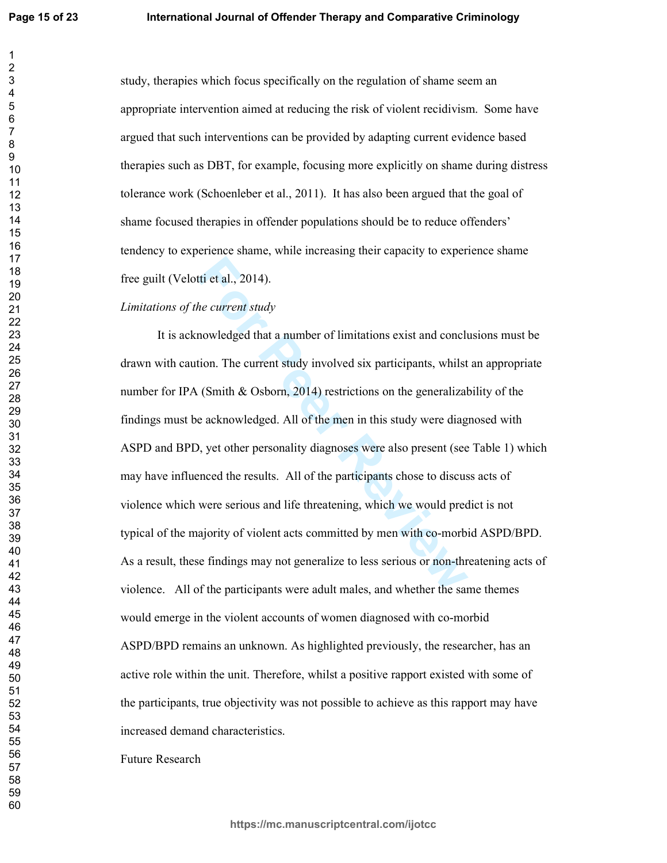study, therapies which focus specifically on the regulation of shame seem an appropriate intervention aimed at reducing the risk of violent recidivism. Some have argued that such interventions can be provided by adapting current evidence based therapies such as DBT, for example, focusing more explicitly on shame during distress tolerance work (Schoenleber et al., 2011). It has also been argued that the goal of shame focused therapies in offender populations should be to reduce offenders' tendency to experience shame, while increasing their capacity to experience shame free guilt (Velotti et al., 2014).

# Limitations of the current study

ti et al., 2014).<br> *He current study*<br> **Formulation** a number of limitations exist and concluded<br> **Formulation**. The current study involved six participants, whilst<br> **Formulation** (Smith & Osborn, 2014) restrictions on the It is acknowledged that a number of limitations exist and conclusions must be drawn with caution. The current study involved six participants, whilst an appropriate number for IPA (Smith & Osborn, 2014) restrictions on the generalizability of the findings must be acknowledged. All of the men in this study were diagnosed with ASPD and BPD, yet other personality diagnoses were also present (see Table 1) which may have influenced the results. All of the participants chose to discuss acts of violence which were serious and life threatening, which we would predict is not typical of the majority of violent acts committed by men with co-morbid ASPD/BPD. As a result, these findings may not generalize to less serious or non-threatening acts of violence. All of the participants were adult males, and whether the same themes would emerge in the violent accounts of women diagnosed with co-morbid ASPD/BPD remains an unknown. As highlighted previously, the researcher, has an active role within the unit. Therefore, whilst a positive rapport existed with some of the participants, true objectivity was not possible to achieve as this rapport may have increased demand characteristics.

Future Research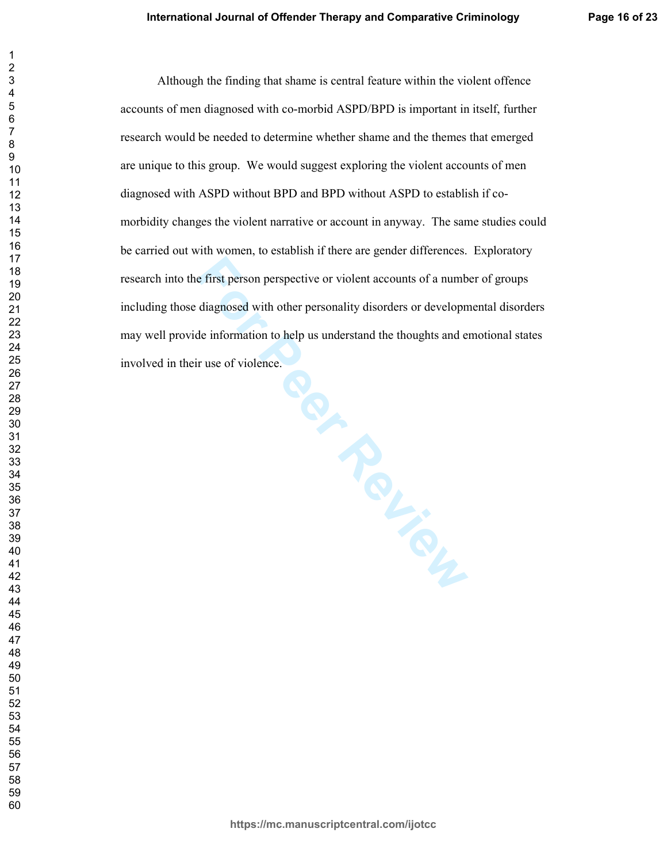Although the finding that shame is central feature within the violent offence accounts of men diagnosed with co-morbid ASPD/BPD is important in itself, further research would be needed to determine whether shame and the themes that emerged are unique to this group. We would suggest exploring the violent accounts of men diagnosed with ASPD without BPD and BPD without ASPD to establish if comorbidity changes the violent narrative or account in anyway. The same studies could be carried out with women, to establish if there are gender differences. Exploratory research into the first person perspective or violent accounts of a number of groups including those diagnosed with other personality disorders or developmental disorders may well provide information to help us understand the thoughts and emotional states involved in their use of violence.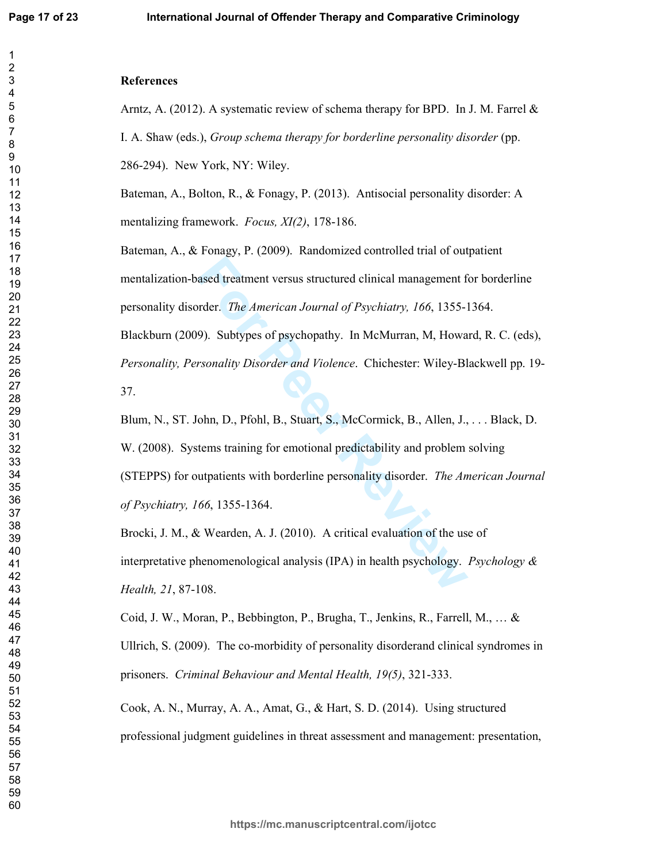# **References**

Arntz, A. (2012). A systematic review of schema therapy for BPD. In J. M. Farrel  $\&$ I. A. Shaw (eds.), Group schema therapy for borderline personality disorder (pp.

286-294). New York, NY: Wiley.

Bateman, A., Bolton, R., & Fonagy, P. (2013). Antisocial personality disorder: A mentalizing framework. *Focus, XI(2)*, 178-186.

Bateman, A., & Fonagy, P. (2009). Randomized controlled trial of outpatient mentalization-based treatment versus structured clinical management for borderline personality disorder. The American Journal of Psychiatry, 166, 1355-1364. Blackburn (2009). Subtypes of psychopathy. In McMurran, M, Howard, R. C. (eds), Personality, Personality Disorder and Violence. Chichester: Wiley-Blackwell pp. 19-

37.

Blum, N., ST. John, D., Pfohl, B., Stuart, S., McCormick, B., Allen, J., ... Black, D. W. (2008). Systems training for emotional predictability and problem solving (STEPPS) for outpatients with borderline personality disorder. *The American Journal* of Psychiatry, 166, 1355-1364.

Brocki, J. M., & Wearden, A. J. (2010). A critical evaluation of the use of interpretative phenomenological analysis (IPA) in health psychology. Psychology  $\&$ Health, 21, 87-108.

Coid, J. W., Moran, P., Bebbington, P., Brugha, T., Jenkins, R., Farrell, M., ... & Ullrich, S. (2009). The co-morbidity of personality disorderand clinical syndromes in prisoners. Criminal Behaviour and Mental Health, 19(5), 321-333.

Cook, A. N., Murray, A. A., Amat, G., & Hart, S. D. (2014). Using structured professional judgment guidelines in threat assessment and management: presentation,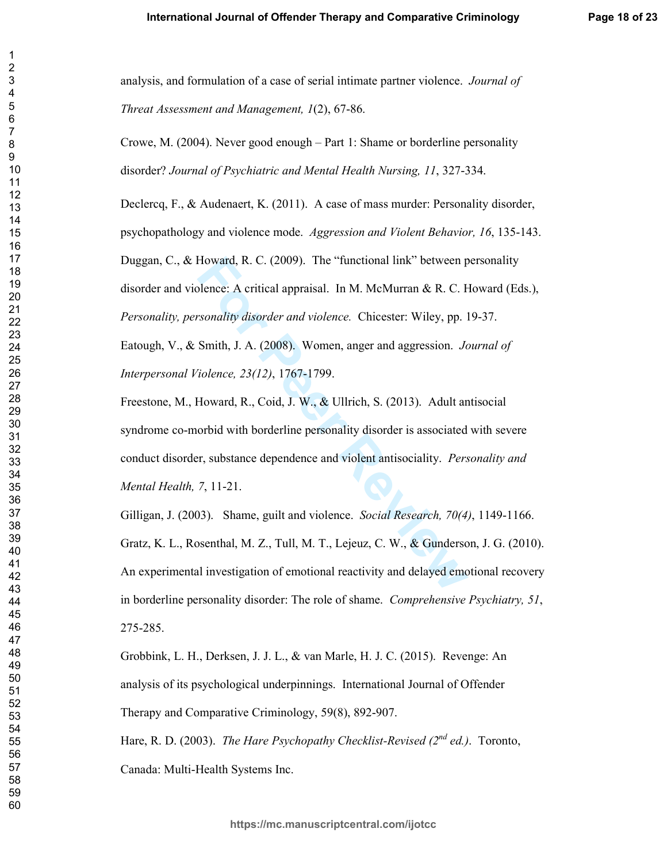analysis, and formulation of a case of serial intimate partner violence. Journal of Threat Assessment and Management, 1(2), 67-86.

Crowe, M. (2004). Never good enough – Part 1: Shame or borderline personality disorder? Journal of Psychiatric and Mental Health Nursing, 11, 327-334.

Declercq, F., & Audenaert, K. (2011). A case of mass murder: Personality disorder, psychopathology and violence mode. Aggression and Violent Behavior, 16, 135-143. Duggan, C., & Howard, R. C. (2009). The "functional link" between personality disorder and violence: A critical appraisal. In M. McMurran & R. C. Howard (Eds.), Personality, personality disorder and violence. Chicester: Wiley, pp. 19-37. Eatough, V., & Smith, J. A. (2008). Women, anger and aggression. Journal of Interpersonal Violence, 23(12), 1767-1799.

Freestone, M., Howard, R., Coid, J. W., & Ullrich, S. (2013). Adult antisocial syndrome co-morbid with borderline personality disorder is associated with severe conduct disorder, substance dependence and violent antisociality. *Personality and* Mental Health, 7, 11-21.

Gilligan, J. (2003). Shame, guilt and violence. Social Research, 70(4), 1149-1166. Gratz, K. L., Rosenthal, M. Z., Tull, M. T., Lejeuz, C. W., & Gunderson, J. G. (2010). An experimental investigation of emotional reactivity and delayed emotional recovery in borderline personality disorder: The role of shame. Comprehensive Psychiatry, 51, 275-285.

Grobbink, L. H., Derksen, J. J. L., & van Marle, H. J. C. (2015). Revenge: An analysis of its psychological underpinnings. International Journal of Offender Therapy and Comparative Criminology, 59(8), 892-907.

Hare, R. D. (2003). The Hare Psychopathy Checklist-Revised ( $2^{nd}$  ed.). Toronto, Canada: Multi-Health Systems Inc.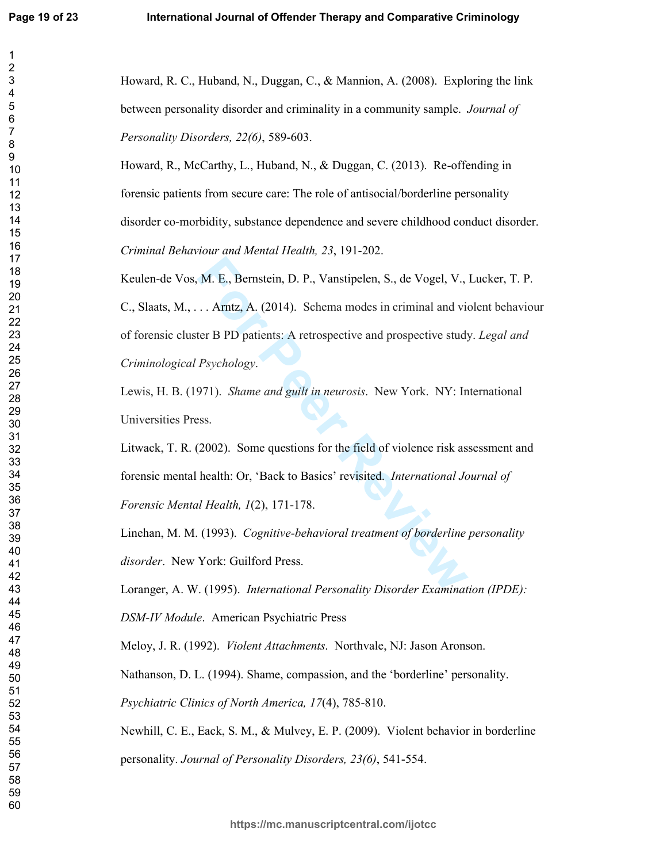$\overline{c}$ 

Howard, R. C., Huband, N., Duggan, C., & Mannion, A. (2008). Exploring the link between personality disorder and criminality in a community sample. *Journal of* Personality Disorders, 22(6), 589-603.

Howard, R., McCarthy, L., Huband, N., & Duggan, C. (2013). Re-offending in forensic patients from secure care: The role of antisocial/borderline personality disorder co-morbidity, substance dependence and severe childhood conduct disorder. Criminal Behaviour and Mental Health, 23, 191-202.

Keulen-de Vos, M. E., Bernstein, D. P., Vanstipelen, S., de Vogel, V., Lucker, T. P. C., Slaats, M., ... Arntz, A. (2014). Schema modes in criminal and violent behaviour of forensic cluster B PD patients: A retrospective and prospective study. Legal and Criminological Psychology.

Lewis, H. B. (1971). Shame and guilt in neurosis. New York. NY: International Universities Press.

Litwack, T. R. (2002). Some questions for the field of violence risk assessment and forensic mental health: Or, 'Back to Basics' revisited. International Journal of Forensic Mental Health, 1(2), 171-178.

Linehan, M. M. (1993). Cognitive-behavioral treatment of borderline personality *disorder.* New York: Guilford Press.

Loranger, A. W. (1995). International Personality Disorder Examination (IPDE):

DSM-IV Module. American Psychiatric Press

Meloy, J. R. (1992). *Violent Attachments*. Northvale, NJ: Jason Aronson.

Nathanson, D. L. (1994). Shame, compassion, and the 'borderline' personality.

Psychiatric Clinics of North America, 17(4), 785-810.

Newhill, C. E., Eack, S. M., & Mulvey, E. P. (2009). Violent behavior in borderline

personality. Journal of Personality Disorders, 23(6), 541-554.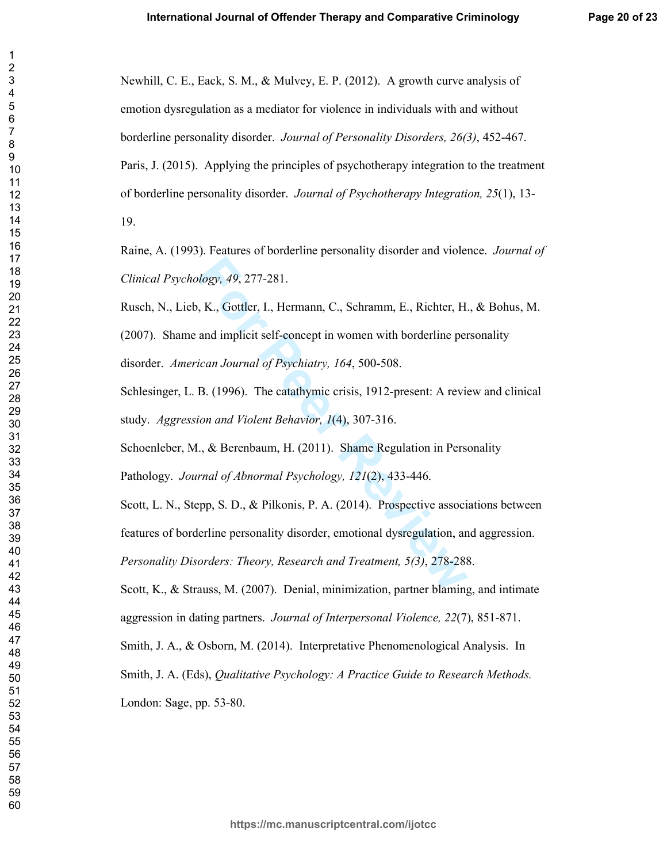Newhill, C. E., Eack, S. M., & Mulvey, E. P. (2012). A growth curve analysis of emotion dysregulation as a mediator for violence in individuals with and without borderline personality disorder. Journal of Personality Disorders, 26(3), 452-467. Paris, J. (2015). Applying the principles of psychotherapy integration to the treatment of borderline personality disorder. Journal of Psychotherapy Integration, 25(1), 13-19.

Raine, A. (1993). Features of borderline personality disorder and violence. *Journal of* Clinical Psychology, 49, 277-281.

Rusch, N., Lieb, K., Gottler, I., Hermann, C., Schramm, E., Richter, H., & Bohus, M.

(2007). Shame and implicit self-concept in women with borderline personality disorder. American Journal of Psychiatry, 164, 500-508.

Schlesinger, L. B. (1996). The catathymic crisis, 1912-present: A review and clinical study. Aggression and Violent Behavior, 1(4), 307-316.

Schoenleber, M., & Berenbaum, H. (2011). Shame Regulation in Personality

Pathology. Journal of Abnormal Psychology, 121(2), 433-446.

Scott, L. N., Stepp, S. D., & Pilkonis, P. A. (2014). Prospective associations between features of borderline personality disorder, emotional dysregulation, and aggression. Personality Disorders: Theory, Research and Treatment, 5(3), 278-288.

Scott, K., & Strauss, M. (2007). Denial, minimization, partner blaming, and intimate aggression in dating partners. *Journal of Interpersonal Violence*, 22(7), 851-871.

Smith, J. A., & Osborn, M. (2014). Interpretative Phenomenological Analysis. In

Smith, J. A. (Eds), Qualitative Psychology: A Practice Guide to Research Methods.

London: Sage, pp. 53-80.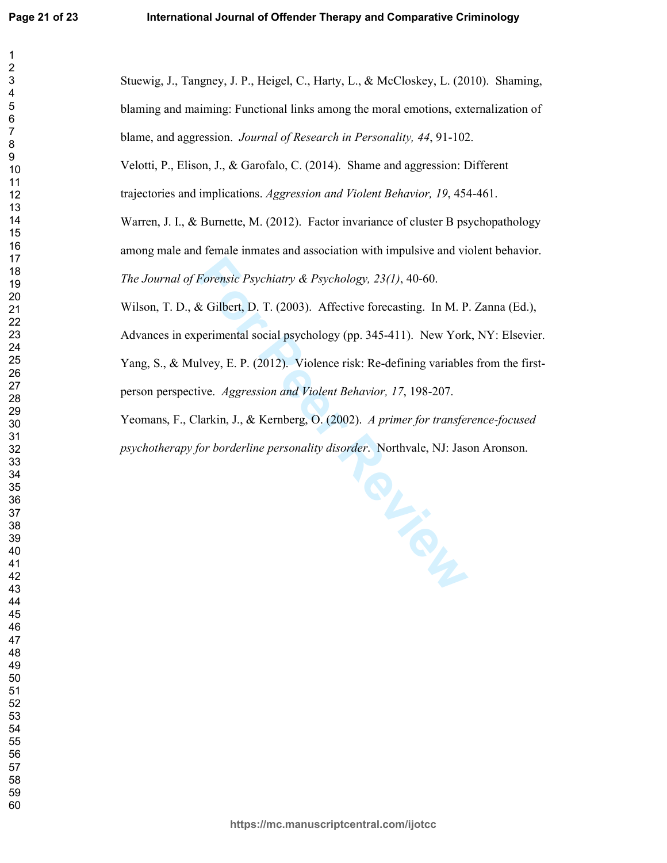$\overline{2}$ 

 $\overline{7}$ 

 Stuewig, J., Tangney, J. P., Heigel, C., Harty, L., & McCloskey, L. (2010). Shaming, blaming and maiming: Functional links among the moral emotions, externalization of blame, and aggression. Journal of Research in Personality, 44, 91-102. Velotti, P., Elison, J., & Garofalo, C. (2014). Shame and aggression: Different trajectories and implications. Aggression and Violent Behavior, 19, 454-461. Warren, J. I., & Burnette, M. (2012). Factor invariance of cluster B psychopathology among male and female inmates and association with impulsive and violent behavior. The Journal of Forensic Psychiatry & Psychology, 23(1), 40-60. Wilson, T. D., & Gilbert, D. T. (2003). Affective forecasting. In M. P. Zanna (Ed.), Advances in experimental social psychology (pp. 345-411). New York, NY: Elsevier. Yang, S., & Mulvey, E. P. (2012). Violence risk: Re-defining variables from the firstperson perspective. Aggression and Violent Behavior, 17, 198-207. Yeomans, F., Clarkin, J., & Kernberg, O. (2002). A primer for transference-focused

psychotherapy for borderline personality disorder. Northvale, NJ: Jason Aronson.

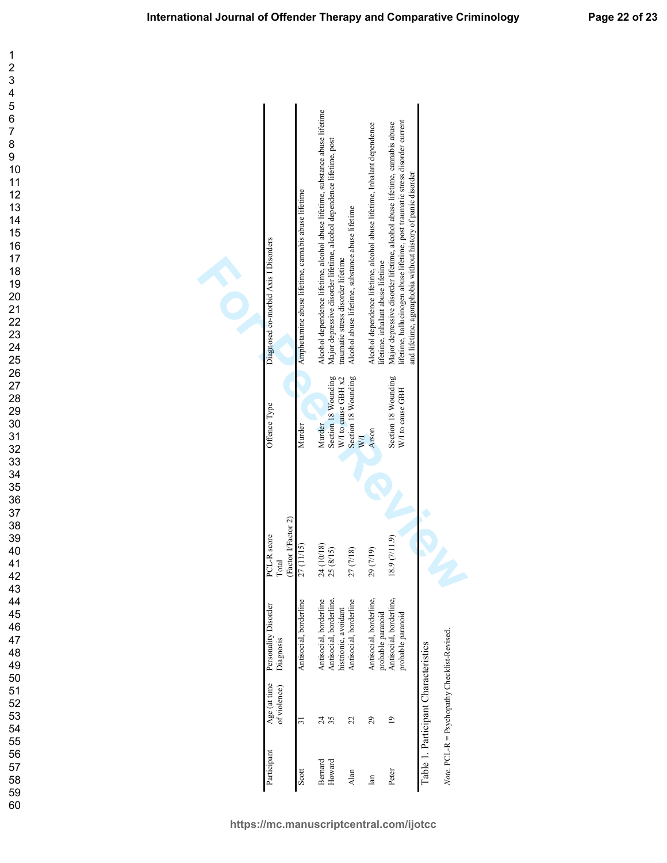$\mathbf 1$  $\overline{2}$ 

60

| Diagnosed co-morbid Axis I Disorders        | Amphetamine abuse lifetime, cannabis abuse lifetime | Alcohol dependence lifetime, alcohol abuse lifetime, substance abuse lifetime | Major depressive disorder lifetime, alcohol dependence lifetime, post<br>traumatic stress disorder lifetime | Alcohol abuse lifetime, substance abuse lifetime | Alcohol dependence lifetime, alcohol abuse lifetime, Inhalant dependence<br>lifetime, inhalant abuse lifetime | lifetime, hallucinogen abuse lifetime, post traumatic stress disorder current<br>Major depressive disorder lifetime, alcohol abuse lifetime, cannabis abuse<br>and lifetime, agoraphobia without history of panic disorder |                                      |                                              |
|---------------------------------------------|-----------------------------------------------------|-------------------------------------------------------------------------------|-------------------------------------------------------------------------------------------------------------|--------------------------------------------------|---------------------------------------------------------------------------------------------------------------|----------------------------------------------------------------------------------------------------------------------------------------------------------------------------------------------------------------------------|--------------------------------------|----------------------------------------------|
| Offence Type                                | Murder                                              | Murder                                                                        | Section 18 Wounding<br>W/I to cause GBH x2                                                                  | Section 18 Wounding<br>WД                        | Arson                                                                                                         | Section 18 Wounding<br>W/I to cause GBH                                                                                                                                                                                    |                                      |                                              |
|                                             |                                                     |                                                                               |                                                                                                             |                                                  |                                                                                                               |                                                                                                                                                                                                                            |                                      |                                              |
| (Factor I/Factor 2)<br>PCL-R score<br>Total | 27 (11/15)                                          | 24 (10/18)<br>25 (8/15)                                                       |                                                                                                             | 27 (7/18)                                        | 29 (7/19)                                                                                                     | 18.9 (7/11.9)                                                                                                                                                                                                              |                                      |                                              |
| Personality Disorder<br>Diagnosis           | Antisocial, borderline                              | Antisocial, borderline                                                        | Antisocial, borderline,<br>histrionic, avoidant                                                             | Antisocial, borderline                           | Antisocial, borderline,<br>probable paranoid                                                                  | Antisocial, borderline,<br>probable paranoid                                                                                                                                                                               |                                      |                                              |
| Age (at time<br>of violence)                | 31                                                  | 35<br>र्द                                                                     |                                                                                                             | 22                                               | 29                                                                                                            | $\mathbf{c}$                                                                                                                                                                                                               | Table 1. Participant Characteristics | Note. PCL-R = Psychopathy Checklist-Revised. |
| Participant                                 | Scott                                               | Bernard                                                                       | Howard                                                                                                      | Alan                                             | lan                                                                                                           | Peter                                                                                                                                                                                                                      |                                      |                                              |

**https://mc.manuscriptcentral.com/ijotcc**